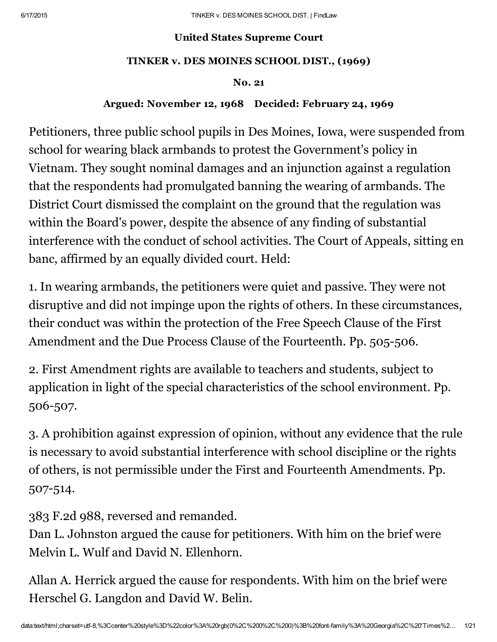### United States Supreme Court

### TINKER v. DES MOINES SCHOOL DIST., (1969)

### No. 21

### Argued: November 12, 1968 Decided: February 24, 1969

Petitioners, three public school pupils in Des Moines, Iowa, were suspended from school for wearing black armbands to protest the Government's policy in Vietnam. They sought nominal damages and an injunction against a regulation that the respondents had promulgated banning the wearing of armbands. The District Court dismissed the complaint on the ground that the regulation was within the Board's power, despite the absence of any finding of substantial interference with the conduct of school activities. The Court of Appeals, sitting en banc, affirmed by an equally divided court. Held:

1. In wearing armbands, the petitioners were quiet and passive. They were not disruptive and did not impinge upon the rights of others. In these circumstances, their conduct was within the protection of the Free Speech Clause of the First Amendment and the Due Process Clause of the Fourteenth. Pp. 505-506.

2. First Amendment rights are available to teachers and students, subject to application in light of the special characteristics of the school environment. Pp. 506-507.

3. A prohibition against expression of opinion, without any evidence that the rule is necessary to avoid substantial interference with school discipline or the rights of others, is not permissible under the First and Fourteenth Amendments. Pp. 507-514.

383 F.2d 988, reversed and remanded.

Dan L. Johnston argued the cause for petitioners. With him on the brief were Melvin L. Wulf and David N. Ellenhorn.

Allan A. Herrick argued the cause for respondents. With him on the brief were Herschel G. Langdon and David W. Belin.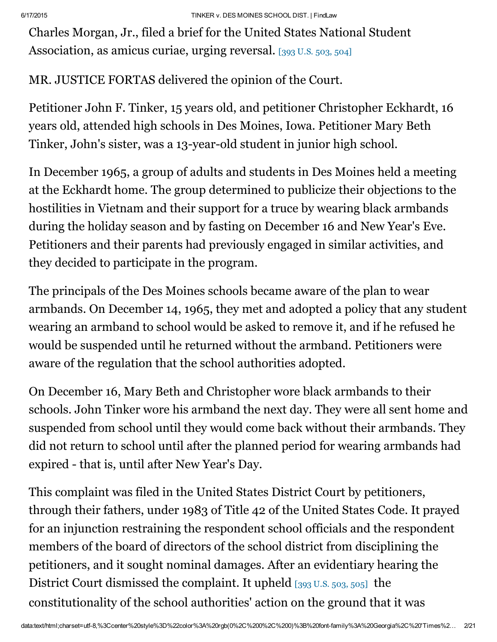Charles Morgan, Jr., filed a brief for the United States National Student Association, as amicus curiae, urging reversal. [393 U.S. 503, 504]

## MR. JUSTICE FORTAS delivered the opinion of the Court.

Petitioner John F. Tinker, 15 years old, and petitioner Christopher Eckhardt, 16 years old, attended high schools in Des Moines, Iowa. Petitioner Mary Beth Tinker, John's sister, was a 13-year-old student in junior high school.

In December 1965, a group of adults and students in Des Moines held a meeting at the Eckhardt home. The group determined to publicize their objections to the hostilities in Vietnam and their support for a truce by wearing black armbands during the holiday season and by fasting on December 16 and New Year's Eve. Petitioners and their parents had previously engaged in similar activities, and they decided to participate in the program.

The principals of the Des Moines schools became aware of the plan to wear armbands. On December 14, 1965, they met and adopted a policy that any student wearing an armband to school would be asked to remove it, and if he refused he would be suspended until he returned without the armband. Petitioners were aware of the regulation that the school authorities adopted.

On December 16, Mary Beth and Christopher wore black armbands to their schools. John Tinker wore his armband the next day. They were all sent home and suspended from school until they would come back without their armbands. They did not return to school until after the planned period for wearing armbands had expired - that is, until after New Year's Day.

This complaint was filed in the United States District Court by petitioners, through their fathers, under 1983 of Title 42 of the United States Code. It prayed for an injunction restraining the respondent school officials and the respondent members of the board of directors of the school district from disciplining the petitioners, and it sought nominal damages. After an evidentiary hearing the District Court dismissed the complaint. It upheld [393 U.S. 503, 505] the constitutionality of the school authorities' action on the ground that it was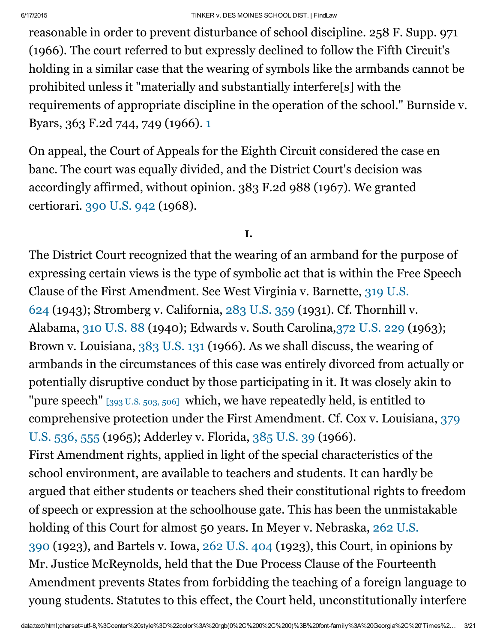#### 6/17/2015 TINKER v. DES MOINES SCHOOL DIST. | FindLaw

reasonable in order to prevent disturbance of school discipline. 258 F. Supp. 971 (1966). The court referred to but expressly declined to follow the Fifth Circuit's holding in a similar case that the wearing of symbols like the armbands cannot be prohibited unless it "materially and substantially interfere[s] with the requirements of appropriate discipline in the operation of the school." Burnside v. Byars, 363 F.2d 744, 749 (1966). [1](http://caselaw.findlaw.com/us-supreme-court/393/503.html#f1)

On appeal, the Court of Appeals for the Eighth Circuit considered the case en banc. The court was equally divided, and the District Court's decision was accordingly affirmed, without opinion. 383 F.2d 988 (1967). We granted certiorari. 390 [U.S.](http://caselaw.findlaw.com/us-supreme-court/390/942.html) 942 (1968).

## I.

The District Court recognized that the wearing of an armband for the purpose of expressing certain views is the type of symbolic act that is within the Free Speech Clause of the First [Amendment.](http://caselaw.findlaw.com/us-supreme-court/319/624.html) See West Virginia v. Barnette, 319 U.S. 624 (1943); Stromberg v. California, 283 [U.S.](http://caselaw.findlaw.com/us-supreme-court/283/359.html) 359 (1931). Cf. Thornhill v. Alabama, 310 [U.S.](http://caselaw.findlaw.com/us-supreme-court/310/88.html) 88 (1940); Edwards v. South Carolina,372 [U.S.](http://caselaw.findlaw.com/us-supreme-court/372/229.html) 229 (1963); Brown v. Louisiana, 383 [U.S.](http://caselaw.findlaw.com/us-supreme-court/383/131.html) 131 (1966). As we shall discuss, the wearing of armbands in the circumstances of this case was entirely divorced from actually or potentially disruptive conduct by those participating in it. It was closely akin to "pure speech"  $_{[393 \text{ U.S. } 503, 506]}$  which, we have repeatedly held, is entitled to [comprehensive](http://caselaw.findlaw.com/us-supreme-court/379/536.html#555) protection under the First Amendment. Cf. Cox v. Louisiana, 379 U.S. 536, 555 (1965); Adderley v. Florida, 385 [U.S.](http://caselaw.findlaw.com/us-supreme-court/385/39.html) 39 (1966). First Amendment rights, applied in light of the special characteristics of the school environment, are available to teachers and students. It can hardly be argued that either students or teachers shed their constitutional rights to freedom of speech or expression at the schoolhouse gate. This has been the unmistakable holding of this Court for almost 50 years. In Meyer v. [Nebraska,](http://caselaw.findlaw.com/us-supreme-court/262/390.html) 262 U.S. 390 (1923), and Bartels v. Iowa, 262 [U.S.](http://caselaw.findlaw.com/us-supreme-court/262/404.html) 404 (1923), this Court, in opinions by Mr. Justice McReynolds, held that the Due Process Clause of the Fourteenth Amendment prevents States from forbidding the teaching of a foreign language to young students. Statutes to this effect, the Court held, unconstitutionally interfere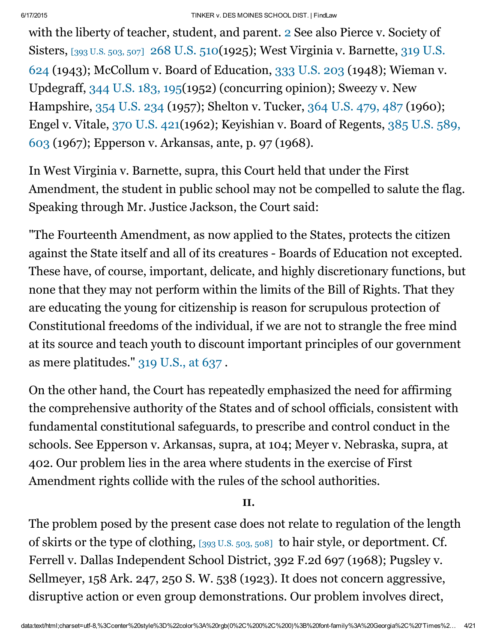with the liberty of teacher, student, and parent. [2](http://caselaw.findlaw.com/us-supreme-court/393/503.html#f2) See also Pierce v. Society of Sisters, [393 U.S. 503, 507] 268 [U.S.](http://caselaw.findlaw.com/us-supreme-court/268/510.html) 510(1925); West Virginia v. Barnette, 319 U.S. 624 (1943); McCollum v. Board of [Education,](http://caselaw.findlaw.com/us-supreme-court/319/624.html) 333 [U.S.](http://caselaw.findlaw.com/us-supreme-court/333/203.html) 203 (1948); Wieman v. Updegraff, 344 [U.S.](http://caselaw.findlaw.com/us-supreme-court/344/183.html#195) 183, 195(1952) (concurring opinion); Sweezy v. New Hampshire, 354 [U.S.](http://caselaw.findlaw.com/us-supreme-court/354/234.html) 234 (1957); Shelton v. Tucker, 364 U.S. [479,](http://caselaw.findlaw.com/us-supreme-court/364/479.html#487) 487 (1960); Engel v. Vitale, 370 [U.S.](http://caselaw.findlaw.com/us-supreme-court/370/421.html) [421\(1962\);](http://caselaw.findlaw.com/us-supreme-court/385/589.html#603) Keyishian v. Board of Regents, 385 U.S. 589, 603 (1967); Epperson v. Arkansas, ante, p. 97 (1968).

In West Virginia v. Barnette, supra, this Court held that under the First Amendment, the student in public school may not be compelled to salute the flag. Speaking through Mr. Justice Jackson, the Court said:

"The Fourteenth Amendment, as now applied to the States, protects the citizen against the State itself and all of its creatures - Boards of Education not excepted. These have, of course, important, delicate, and highly discretionary functions, but none that they may not perform within the limits of the Bill of Rights. That they are educating the young for citizenship is reason for scrupulous protection of Constitutional freedoms of the individual, if we are not to strangle the free mind at its source and teach youth to discount important principles of our government as mere platitudes." 319 [U.S.,](http://caselaw.findlaw.com/us-supreme-court/319/624.html#637) at 637 .

On the other hand, the Court has repeatedly emphasized the need for affirming the comprehensive authority of the States and of school officials, consistent with fundamental constitutional safeguards, to prescribe and control conduct in the schools. See Epperson v. Arkansas, supra, at 104; Meyer v. Nebraska, supra, at 402. Our problem lies in the area where students in the exercise of First Amendment rights collide with the rules of the school authorities.

II.

The problem posed by the present case does not relate to regulation of the length of skirts or the type of clothing, [393 U.S. 503, 508] to hair style, or deportment. Cf. Ferrell v. Dallas Independent School District, 392 F.2d 697 (1968); Pugsley v. Sellmeyer, 158 Ark. 247, 250 S. W. 538 (1923). It does not concern aggressive, disruptive action or even group demonstrations. Our problem involves direct,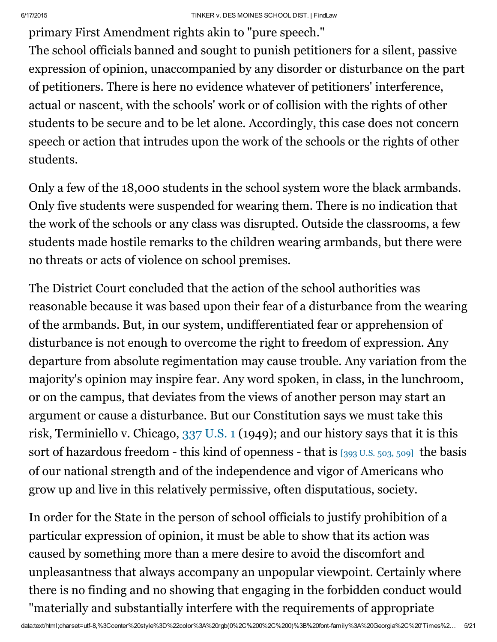primary First Amendment rights akin to "pure speech." The school officials banned and sought to punish petitioners for a silent, passive expression of opinion, unaccompanied by any disorder or disturbance on the part of petitioners. There is here no evidence whatever of petitioners' interference, actual or nascent, with the schools' work or of collision with the rights of other students to be secure and to be let alone. Accordingly, this case does not concern speech or action that intrudes upon the work of the schools or the rights of other students.

Only a few of the 18,000 students in the school system wore the black armbands. Only five students were suspended for wearing them. There is no indication that the work of the schools or any class was disrupted. Outside the classrooms, a few students made hostile remarks to the children wearing armbands, but there were no threats or acts of violence on school premises.

The District Court concluded that the action of the school authorities was reasonable because it was based upon their fear of a disturbance from the wearing of the armbands. But, in our system, undifferentiated fear or apprehension of disturbance is not enough to overcome the right to freedom of expression. Any departure from absolute regimentation may cause trouble. Any variation from the majority's opinion may inspire fear. Any word spoken, in class, in the lunchroom, or on the campus, that deviates from the views of another person may start an argument or cause a disturbance. But our Constitution says we must take this risk, Terminiello v. Chicago, 337 [U.S.](http://caselaw.findlaw.com/us-supreme-court/337/1.html) 1 (1949); and our history says that it is this sort of hazardous freedom - this kind of openness - that is  $[393 \text{ U.S. } 503, 509]$  the basis of our national strength and of the independence and vigor of Americans who grow up and live in this relatively permissive, often disputatious, society.

In order for the State in the person of school officials to justify prohibition of a particular expression of opinion, it must be able to show that its action was caused by something more than a mere desire to avoid the discomfort and unpleasantness that always accompany an unpopular viewpoint. Certainly where there is no finding and no showing that engaging in the forbidden conduct would "materially and substantially interfere with the requirements of appropriate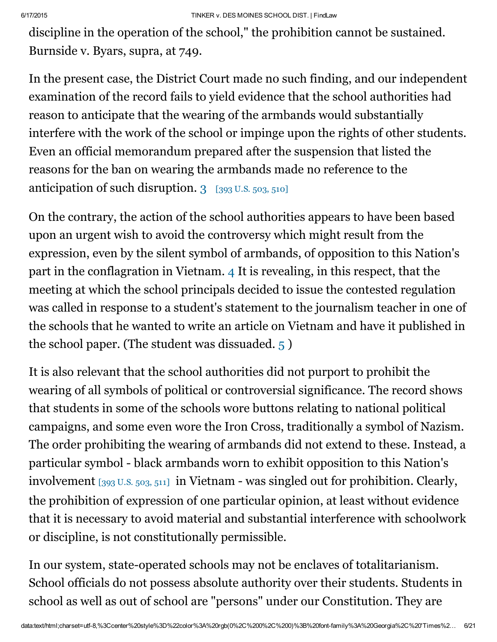discipline in the operation of the school," the prohibition cannot be sustained. Burnside v. Byars, supra, at 749.

In the present case, the District Court made no such finding, and our independent examination of the record fails to yield evidence that the school authorities had reason to anticipate that the wearing of the armbands would substantially interfere with the work of the school or impinge upon the rights of other students. Even an official memorandum prepared after the suspension that listed the reasons for the ban on wearing the armbands made no reference to the anticipation of such disruption.  $3\left[393\right]$  $3\left[393\right]$  U.S.  $503, 510$ ]

On the contrary, the action of the school authorities appears to have been based upon an urgent wish to avoid the controversy which might result from the expression, even by the silent symbol of armbands, of opposition to this Nation's part in the conflagration in Vietnam. [4](http://caselaw.findlaw.com/us-supreme-court/393/503.html#f4) It is revealing, in this respect, that the meeting at which the school principals decided to issue the contested regulation was called in response to a student's statement to the journalism teacher in one of the schools that he wanted to write an article on Vietnam and have it published in the school paper. (The student was dissuaded. [5](http://caselaw.findlaw.com/us-supreme-court/393/503.html#f5) )

It is also relevant that the school authorities did not purport to prohibit the wearing of all symbols of political or controversial significance. The record shows that students in some of the schools wore buttons relating to national political campaigns, and some even wore the Iron Cross, traditionally a symbol of Nazism. The order prohibiting the wearing of armbands did not extend to these. Instead, a particular symbol - black armbands worn to exhibit opposition to this Nation's involvement  $_{[393 \text{ U.S. }503, 511]}$  in Vietnam - was singled out for prohibition. Clearly, the prohibition of expression of one particular opinion, at least without evidence that it is necessary to avoid material and substantial interference with schoolwork or discipline, is not constitutionally permissible.

In our system, state-operated schools may not be enclaves of totalitarianism. School officials do not possess absolute authority over their students. Students in school as well as out of school are "persons" under our Constitution. They are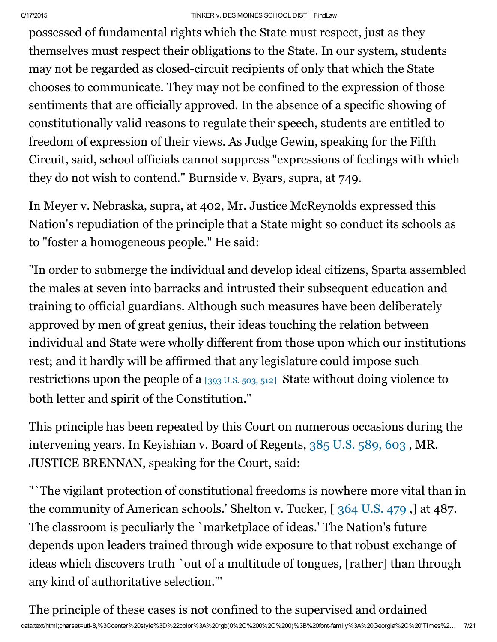possessed of fundamental rights which the State must respect, just as they themselves must respect their obligations to the State. In our system, students may not be regarded as closed-circuit recipients of only that which the State chooses to communicate. They may not be confined to the expression of those sentiments that are officially approved. In the absence of a specific showing of constitutionally valid reasons to regulate their speech, students are entitled to freedom of expression of their views. As Judge Gewin, speaking for the Fifth Circuit, said, school officials cannot suppress "expressions of feelings with which they do not wish to contend." Burnside v. Byars, supra, at 749.

In Meyer v. Nebraska, supra, at 402, Mr. Justice McReynolds expressed this Nation's repudiation of the principle that a State might so conduct its schools as to "foster a homogeneous people." He said:

"In order to submerge the individual and develop ideal citizens, Sparta assembled the males at seven into barracks and intrusted their subsequent education and training to official guardians. Although such measures have been deliberately approved by men of great genius, their ideas touching the relation between individual and State were wholly different from those upon which our institutions rest; and it hardly will be affirmed that any legislature could impose such restrictions upon the people of a  $_{[393 \text{ U.S. } 503, 512]}$  State without doing violence to both letter and spirit of the Constitution."

This principle has been repeated by this Court on numerous occasions during the intervening years. In Keyishian v. Board of Regents, 385 U.S. [589,](http://caselaw.findlaw.com/us-supreme-court/385/589.html#603) 603 , MR. JUSTICE BRENNAN, speaking for the Court, said:

"`The vigilant protection of constitutional freedoms is nowhere more vital than in the community of American schools.' Shelton v. Tucker, [ 364 [U.S.](http://caselaw.findlaw.com/us-supreme-court/364/479.html) 479 ,] at 487. The classroom is peculiarly the `marketplace of ideas.' The Nation's future depends upon leaders trained through wide exposure to that robust exchange of ideas which discovers truth `out of a multitude of tongues, [rather] than through any kind of authoritative selection.'"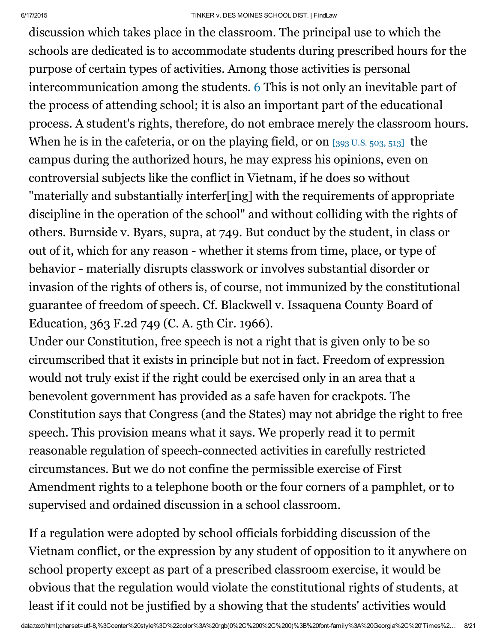discussion which takes place in the classroom. The principal use to which the schools are dedicated is to accommodate students during prescribed hours for the purpose of certain types of activities. Among those activities is personal intercommunication among the students. [6](http://caselaw.findlaw.com/us-supreme-court/393/503.html#f6) This is not only an inevitable part of the process of attending school; it is also an important part of the educational process. A student's rights, therefore, do not embrace merely the classroom hours. When he is in the cafeteria, or on the playing field, or on [393 U.S. 503, 513] the campus during the authorized hours, he may express his opinions, even on controversial subjects like the conflict in Vietnam, if he does so without "materially and substantially interfer[ing] with the requirements of appropriate discipline in the operation of the school" and without colliding with the rights of others. Burnside v. Byars, supra, at 749. But conduct by the student, in class or out of it, which for any reason whether it stems from time, place, or type of behavior - materially disrupts classwork or involves substantial disorder or invasion of the rights of others is, of course, not immunized by the constitutional guarantee of freedom of speech. Cf. Blackwell v. Issaquena County Board of Education, 363 F.2d 749 (C. A. 5th Cir. 1966).

Under our Constitution, free speech is not a right that is given only to be so circumscribed that it exists in principle but not in fact. Freedom of expression would not truly exist if the right could be exercised only in an area that a benevolent government has provided as a safe haven for crackpots. The Constitution says that Congress (and the States) may not abridge the right to free speech. This provision means what it says. We properly read it to permit reasonable regulation of speech-connected activities in carefully restricted circumstances. But we do not confine the permissible exercise of First Amendment rights to a telephone booth or the four corners of a pamphlet, or to supervised and ordained discussion in a school classroom.

If a regulation were adopted by school officials forbidding discussion of the Vietnam conflict, or the expression by any student of opposition to it anywhere on school property except as part of a prescribed classroom exercise, it would be obvious that the regulation would violate the constitutional rights of students, at least if it could not be justified by a showing that the students' activities would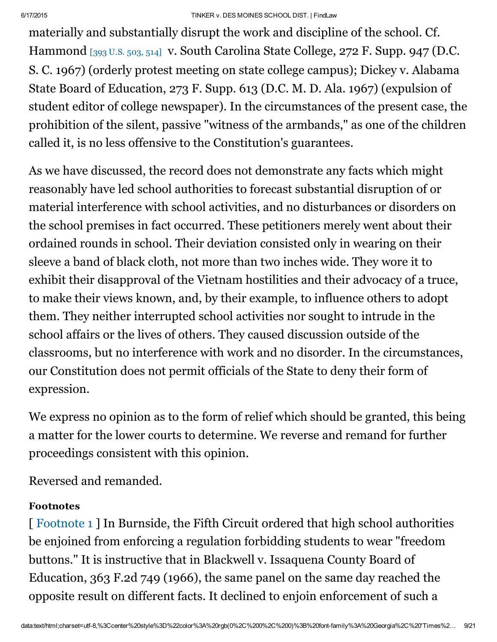#### 6/17/2015 TINKER v. DES MOINES SCHOOL DIST. | FindLaw

materially and substantially disrupt the work and discipline of the school. Cf. Hammond [393 U.S. 503, 514] v. South Carolina State College, 272 F. Supp. 947 (D.C. S. C. 1967) (orderly protest meeting on state college campus); Dickey v. Alabama State Board of Education, 273 F. Supp. 613 (D.C. M. D. Ala. 1967) (expulsion of student editor of college newspaper). In the circumstances of the present case, the prohibition of the silent, passive "witness of the armbands," as one of the children called it, is no less offensive to the Constitution's guarantees.

As we have discussed, the record does not demonstrate any facts which might reasonably have led school authorities to forecast substantial disruption of or material interference with school activities, and no disturbances or disorders on the school premises in fact occurred. These petitioners merely went about their ordained rounds in school. Their deviation consisted only in wearing on their sleeve a band of black cloth, not more than two inches wide. They wore it to exhibit their disapproval of the Vietnam hostilities and their advocacy of a truce, to make their views known, and, by their example, to influence others to adopt them. They neither interrupted school activities nor sought to intrude in the school affairs or the lives of others. They caused discussion outside of the classrooms, but no interference with work and no disorder. In the circumstances, our Constitution does not permit officials of the State to deny their form of expression.

We express no opinion as to the form of relief which should be granted, this being a matter for the lower courts to determine. We reverse and remand for further proceedings consistent with this opinion.

Reversed and remanded.

## Footnotes

[ [Footnote](http://caselaw.findlaw.com/us-supreme-court/393/503.html#t1) 1 ] In Burnside, the Fifth Circuit ordered that high school authorities be enjoined from enforcing a regulation forbidding students to wear "freedom buttons." It is instructive that in Blackwell v. Issaquena County Board of Education, 363 F.2d 749 (1966), the same panel on the same day reached the opposite result on different facts. It declined to enjoin enforcement of such a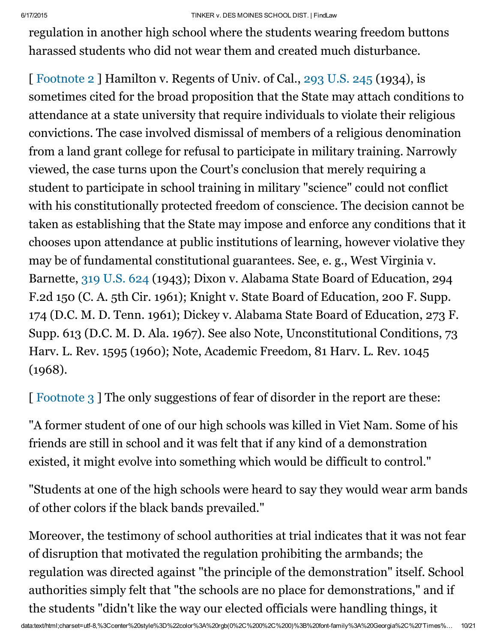regulation in another high school where the students wearing freedom buttons harassed students who did not wear them and created much disturbance.

[[Footnote](http://caselaw.findlaw.com/us-supreme-court/393/503.html#t2) 2 ] Hamilton v. Regents of Univ. of Cal., 293 [U.S.](http://caselaw.findlaw.com/us-supreme-court/293/245.html) 245 (1934), is sometimes cited for the broad proposition that the State may attach conditions to attendance at a state university that require individuals to violate their religious convictions. The case involved dismissal of members of a religious denomination from a land grant college for refusal to participate in military training. Narrowly viewed, the case turns upon the Court's conclusion that merely requiring a student to participate in school training in military "science" could not conflict with his constitutionally protected freedom of conscience. The decision cannot be taken as establishing that the State may impose and enforce any conditions that it chooses upon attendance at public institutions of learning, however violative they may be of fundamental constitutional guarantees. See, e. g., West Virginia v. Barnette, 319 [U.S.](http://caselaw.findlaw.com/us-supreme-court/319/624.html) 624 (1943); Dixon v. Alabama State Board of Education, 294 F.2d 150 (C. A. 5th Cir. 1961); Knight v. State Board of Education, 200 F. Supp. 174 (D.C. M. D. Tenn. 1961); Dickey v. Alabama State Board of Education, 273 F. Supp. 613 (D.C. M. D. Ala. 1967). See also Note, Unconstitutional Conditions, 73 Harv. L. Rev. 1595 (1960); Note, Academic Freedom, 81 Harv. L. Rev. 1045 (1968).

[ [Footnote](http://caselaw.findlaw.com/us-supreme-court/393/503.html#t3) 3 ] The only suggestions of fear of disorder in the report are these:

"A former student of one of our high schools was killed in Viet Nam. Some of his friends are still in school and it was felt that if any kind of a demonstration existed, it might evolve into something which would be difficult to control."

"Students at one of the high schools were heard to say they would wear arm bands of other colors if the black bands prevailed."

Moreover, the testimony of school authorities at trial indicates that it was not fear of disruption that motivated the regulation prohibiting the armbands; the regulation was directed against "the principle of the demonstration" itself. School authorities simply felt that "the schools are no place for demonstrations," and if the students "didn't like the way our elected officials were handling things, it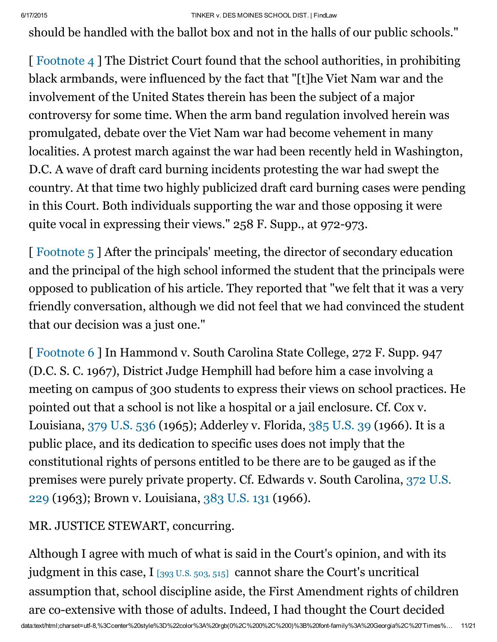#### 6/17/2015 TINKER v. DES MOINES SCHOOL DIST. | FindLaw

should be handled with the ballot box and not in the halls of our public schools."

[ [Footnote](http://caselaw.findlaw.com/us-supreme-court/393/503.html#t4) 4 ] The District Court found that the school authorities, in prohibiting black armbands, were influenced by the fact that "[t]he Viet Nam war and the involvement of the United States therein has been the subject of a major controversy for some time. When the arm band regulation involved herein was promulgated, debate over the Viet Nam war had become vehement in many localities. A protest march against the war had been recently held in Washington, D.C. A wave of draft card burning incidents protesting the war had swept the country. At that time two highly publicized draft card burning cases were pending in this Court. Both individuals supporting the war and those opposing it were quite vocal in expressing their views."  $258$  F. Supp., at 972-973.

[ [Footnote](http://caselaw.findlaw.com/us-supreme-court/393/503.html#t5) 5 ] After the principals' meeting, the director of secondary education and the principal of the high school informed the student that the principals were opposed to publication of his article. They reported that "we felt that it was a very friendly conversation, although we did not feel that we had convinced the student that our decision was a just one."

[ [Footnote](http://caselaw.findlaw.com/us-supreme-court/393/503.html#t6) 6 ] In Hammond v. South Carolina State College, 272 F. Supp. 947 (D.C. S. C. 1967), District Judge Hemphill had before him a case involving a meeting on campus of 300 students to express their views on school practices. He pointed out that a school is not like a hospital or a jail enclosure. Cf. Cox v. Louisiana, 379 [U.S.](http://caselaw.findlaw.com/us-supreme-court/379/536.html) 536 (1965); Adderley v. Florida, 385 [U.S.](http://caselaw.findlaw.com/us-supreme-court/385/39.html) 39 (1966). It is a public place, and its dedication to specific uses does not imply that the constitutional rights of persons entitled to be there are to be gauged as if the premises were purely private property. Cf. Edwards v. South Carolina, 372 U.S. 229 (1963); Brown v. [Louisiana,](http://caselaw.findlaw.com/us-supreme-court/372/229.html) 383 [U.S.](http://caselaw.findlaw.com/us-supreme-court/383/131.html) 131 (1966).

MR. JUSTICE STEWART, concurring.

Although I agree with much of what is said in the Court's opinion, and with its judgment in this case, I [393 U.S. 503, 515] cannot share the Court's uncritical assumption that, school discipline aside, the First Amendment rights of children are co-extensive with those of adults. Indeed, I had thought the Court decided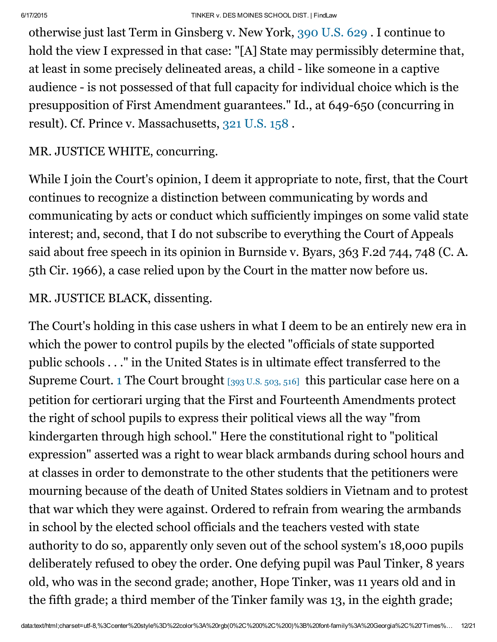otherwise just last Term in Ginsberg v. New York, 390 [U.S.](http://caselaw.findlaw.com/us-supreme-court/390/629.html) 629 . I continue to hold the view I expressed in that case: "[A] State may permissibly determine that, at least in some precisely delineated areas, a child - like someone in a captive audience - is not possessed of that full capacity for individual choice which is the presupposition of First Amendment guarantees." Id., at 649-650 (concurring in result). Cf. Prince v. Massachusetts, 321 [U.S.](http://caselaw.findlaw.com/us-supreme-court/321/158.html) 158 .

## MR. JUSTICE WHITE, concurring.

While I join the Court's opinion, I deem it appropriate to note, first, that the Court continues to recognize a distinction between communicating by words and communicating by acts or conduct which sufficiently impinges on some valid state interest; and, second, that I do not subscribe to everything the Court of Appeals said about free speech in its opinion in Burnside v. Byars, 363 F.2d 744, 748 (C. A. 5th Cir. 1966), a case relied upon by the Court in the matter now before us.

## MR. JUSTICE BLACK, dissenting.

The Court's holding in this case ushers in what I deem to be an entirely new era in which the power to control pupils by the elected "officials of state supported public schools . . ." in the United States is in ultimate effect transferred to the Supreme Court. [1](http://caselaw.findlaw.com/us-supreme-court/393/503.html#ff1) The Court brought [393 U.S. 503, 516] this particular case here on a petition for certiorari urging that the First and Fourteenth Amendments protect the right of school pupils to express their political views all the way "from kindergarten through high school." Here the constitutional right to "political expression" asserted was a right to wear black armbands during school hours and at classes in order to demonstrate to the other students that the petitioners were mourning because of the death of United States soldiers in Vietnam and to protest that war which they were against. Ordered to refrain from wearing the armbands in school by the elected school officials and the teachers vested with state authority to do so, apparently only seven out of the school system's 18,000 pupils deliberately refused to obey the order. One defying pupil was Paul Tinker, 8 years old, who was in the second grade; another, Hope Tinker, was 11 years old and in the fifth grade; a third member of the Tinker family was 13, in the eighth grade;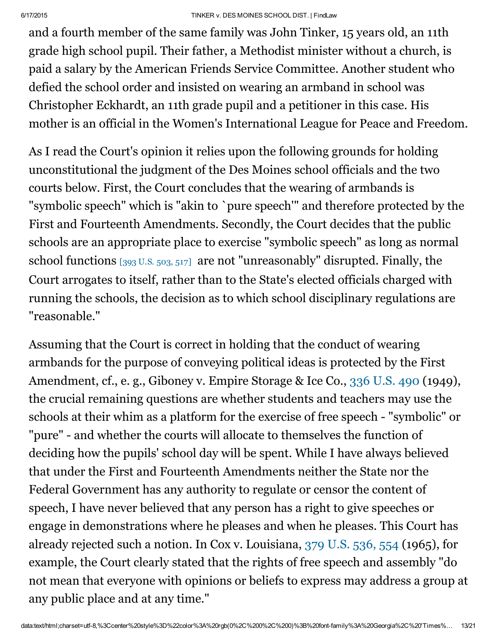and a fourth member of the same family was John Tinker, 15 years old, an 11th grade high school pupil. Their father, a Methodist minister without a church, is paid a salary by the American Friends Service Committee. Another student who defied the school order and insisted on wearing an armband in school was Christopher Eckhardt, an 11th grade pupil and a petitioner in this case. His mother is an official in the Women's International League for Peace and Freedom.

As I read the Court's opinion it relies upon the following grounds for holding unconstitutional the judgment of the Des Moines school officials and the two courts below. First, the Court concludes that the wearing of armbands is "symbolic speech" which is "akin to `pure speech'" and therefore protected by the First and Fourteenth Amendments. Secondly, the Court decides that the public schools are an appropriate place to exercise "symbolic speech" as long as normal school functions [393 U.S. 503, 517] are not "unreasonably" disrupted. Finally, the Court arrogates to itself, rather than to the State's elected officials charged with running the schools, the decision as to which school disciplinary regulations are "reasonable."

Assuming that the Court is correct in holding that the conduct of wearing armbands for the purpose of conveying political ideas is protected by the First Amendment, cf., e. g., Giboney v. Empire Storage & Ice Co., 336 [U.S.](http://caselaw.findlaw.com/us-supreme-court/336/490.html) 490 (1949), the crucial remaining questions are whether students and teachers may use the schools at their whim as a platform for the exercise of free speech "symbolic" or "pure" and whether the courts will allocate to themselves the function of deciding how the pupils' school day will be spent. While I have always believed that under the First and Fourteenth Amendments neither the State nor the Federal Government has any authority to regulate or censor the content of speech, I have never believed that any person has a right to give speeches or engage in demonstrations where he pleases and when he pleases. This Court has already rejected such a notion. In Cox v. Louisiana, 379 U.S. [536,](http://caselaw.findlaw.com/us-supreme-court/379/536.html#554) 554 (1965), for example, the Court clearly stated that the rights of free speech and assembly "do not mean that everyone with opinions or beliefs to express may address a group at any public place and at any time."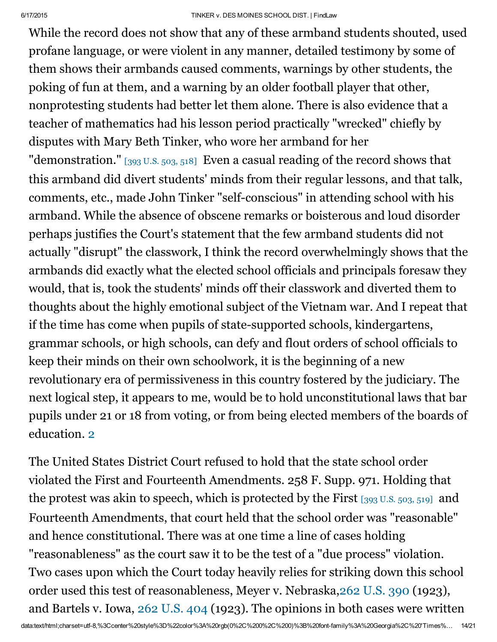While the record does not show that any of these armband students shouted, used profane language, or were violent in any manner, detailed testimony by some of them shows their armbands caused comments, warnings by other students, the poking of fun at them, and a warning by an older football player that other, nonprotesting students had better let them alone. There is also evidence that a teacher of mathematics had his lesson period practically "wrecked" chiefly by disputes with Mary Beth Tinker, who wore her armband for her "demonstration."  $_{[393 \text{ U.S. }503, 518]}$  Even a casual reading of the record shows that this armband did divert students' minds from their regular lessons, and that talk, comments, etc., made John Tinker "self-conscious" in attending school with his armband. While the absence of obscene remarks or boisterous and loud disorder perhaps justifies the Court's statement that the few armband students did not actually "disrupt" the classwork, I think the record overwhelmingly shows that the armbands did exactly what the elected school officials and principals foresaw they would, that is, took the students' minds off their classwork and diverted them to thoughts about the highly emotional subject of the Vietnam war. And I repeat that if the time has come when pupils of state-supported schools, kindergartens, grammar schools, or high schools, can defy and flout orders of school officials to keep their minds on their own schoolwork, it is the beginning of a new revolutionary era of permissiveness in this country fostered by the judiciary. The next logical step, it appears to me, would be to hold unconstitutional laws that bar pupils under 21 or 18 from voting, or from being elected members of the boards of education. [2](http://caselaw.findlaw.com/us-supreme-court/393/503.html#ff2)

The United States District Court refused to hold that the state school order violated the First and Fourteenth Amendments. 258 F. Supp. 971. Holding that the protest was akin to speech, which is protected by the First  $[393 \text{ U.S. } 503, 519]$  and Fourteenth Amendments, that court held that the school order was "reasonable" and hence constitutional. There was at one time a line of cases holding "reasonableness" as the court saw it to be the test of a "due process" violation. Two cases upon which the Court today heavily relies for striking down this school order used this test of reasonableness, Meyer v. Nebraska,262 [U.S.](http://caselaw.findlaw.com/us-supreme-court/262/390.html) 390 (1923), and Bartels v. Iowa, 262 [U.S.](http://caselaw.findlaw.com/us-supreme-court/262/404.html) 404 (1923). The opinions in both cases were written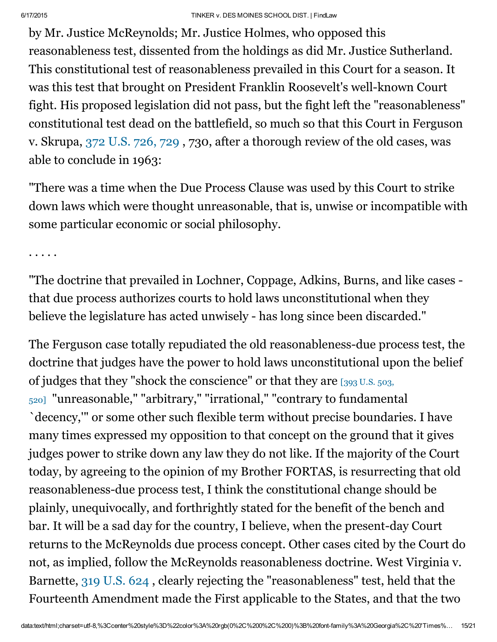by Mr. Justice McReynolds; Mr. Justice Holmes, who opposed this reasonableness test, dissented from the holdings as did Mr. Justice Sutherland. This constitutional test of reasonableness prevailed in this Court for a season. It was this test that brought on President Franklin Roosevelt's well-known Court fight. His proposed legislation did not pass, but the fight left the "reasonableness" constitutional test dead on the battlefield, so much so that this Court in Ferguson v. Skrupa, 372 U.S. [726,](http://caselaw.findlaw.com/us-supreme-court/372/726.html#729) 729 , 730, after a thorough review of the old cases, was able to conclude in 1963:

"There was a time when the Due Process Clause was used by this Court to strike down laws which were thought unreasonable, that is, unwise or incompatible with some particular economic or social philosophy.

. . . . .

"The doctrine that prevailed in Lochner, Coppage, Adkins, Burns, and like cases that due process authorizes courts to hold laws unconstitutional when they believe the legislature has acted unwisely - has long since been discarded."

The Ferguson case totally repudiated the old reasonableness-due process test, the doctrine that judges have the power to hold laws unconstitutional upon the belief of judges that they "shock the conscience" or that they are [393 U.S. 503, 520] "unreasonable," "arbitrary," "irrational," "contrary to fundamental `decency,'" or some other such flexible term without precise boundaries. I have many times expressed my opposition to that concept on the ground that it gives judges power to strike down any law they do not like. If the majority of the Court today, by agreeing to the opinion of my Brother FORTAS, is resurrecting that old reasonableness-due process test, I think the constitutional change should be plainly, unequivocally, and forthrightly stated for the benefit of the bench and bar. It will be a sad day for the country, I believe, when the present-day Court returns to the McReynolds due process concept. Other cases cited by the Court do not, as implied, follow the McReynolds reasonableness doctrine. West Virginia v. Barnette, 319 [U.S.](http://caselaw.findlaw.com/us-supreme-court/319/624.html) 624 , clearly rejecting the "reasonableness" test, held that the Fourteenth Amendment made the First applicable to the States, and that the two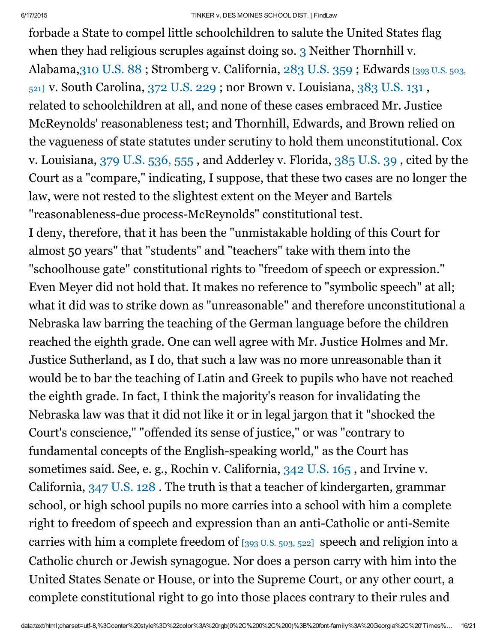forbade a State to compel little schoolchildren to salute the United States flag when they had religious scruples against doing so. [3](http://caselaw.findlaw.com/us-supreme-court/393/503.html#ff3) Neither Thornhill v. Alabama,310 [U.S.](http://caselaw.findlaw.com/us-supreme-court/310/88.html) 88 ; Stromberg v. California, 283 [U.S.](http://caselaw.findlaw.com/us-supreme-court/283/359.html) 359 ; Edwards [393 U.S. 503, 521] v. South Carolina, 372 [U.S.](http://caselaw.findlaw.com/us-supreme-court/372/229.html) 229 ; nor Brown v. Louisiana, 383 [U.S.](http://caselaw.findlaw.com/us-supreme-court/383/131.html) 131 , related to schoolchildren at all, and none of these cases embraced Mr. Justice McReynolds' reasonableness test; and Thornhill, Edwards, and Brown relied on the vagueness of state statutes under scrutiny to hold them unconstitutional. Cox v. Louisiana, 379 U.S. [536,](http://caselaw.findlaw.com/us-supreme-court/379/536.html#555) 555 , and Adderley v. Florida, 385 [U.S.](http://caselaw.findlaw.com/us-supreme-court/385/39.html) 39 , cited by the Court as a "compare," indicating, I suppose, that these two cases are no longer the law, were not rested to the slightest extent on the Meyer and Bartels "reasonableness-due process-McReynolds" constitutional test. I deny, therefore, that it has been the "unmistakable holding of this Court for almost 50 years" that "students" and "teachers" take with them into the "schoolhouse gate" constitutional rights to "freedom of speech or expression." Even Meyer did not hold that. It makes no reference to "symbolic speech" at all; what it did was to strike down as "unreasonable" and therefore unconstitutional a Nebraska law barring the teaching of the German language before the children reached the eighth grade. One can well agree with Mr. Justice Holmes and Mr. Justice Sutherland, as I do, that such a law was no more unreasonable than it would be to bar the teaching of Latin and Greek to pupils who have not reached the eighth grade. In fact, I think the majority's reason for invalidating the Nebraska law was that it did not like it or in legal jargon that it "shocked the Court's conscience," "offended its sense of justice," or was "contrary to fundamental concepts of the English-speaking world," as the Court has sometimes said. See, e. g., Rochin v. California, 342 [U.S.](http://caselaw.findlaw.com/us-supreme-court/342/165.html) 165 , and Irvine v. California, 347 [U.S.](http://caselaw.findlaw.com/us-supreme-court/347/128.html) 128 . The truth is that a teacher of kindergarten, grammar school, or high school pupils no more carries into a school with him a complete right to freedom of speech and expression than an anti-Catholic or anti-Semite carries with him a complete freedom of [393 U.S. 503, 522] speech and religion into a Catholic church or Jewish synagogue. Nor does a person carry with him into the United States Senate or House, or into the Supreme Court, or any other court, a complete constitutional right to go into those places contrary to their rules and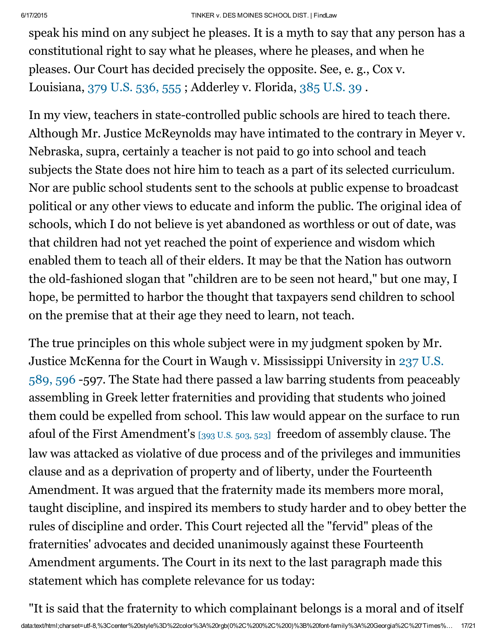speak his mind on any subject he pleases. It is a myth to say that any person has a constitutional right to say what he pleases, where he pleases, and when he pleases. Our Court has decided precisely the opposite. See, e. g., Cox v. Louisiana, 379 U.S. [536,](http://caselaw.findlaw.com/us-supreme-court/379/536.html#555) 555 ; Adderley v. Florida, 385 [U.S.](http://caselaw.findlaw.com/us-supreme-court/385/39.html) 39 .

In my view, teachers in state-controlled public schools are hired to teach there. Although Mr. Justice McReynolds may have intimated to the contrary in Meyer v. Nebraska, supra, certainly a teacher is not paid to go into school and teach subjects the State does not hire him to teach as a part of its selected curriculum. Nor are public school students sent to the schools at public expense to broadcast political or any other views to educate and inform the public. The original idea of schools, which I do not believe is yet abandoned as worthless or out of date, was that children had not yet reached the point of experience and wisdom which enabled them to teach all of their elders. It may be that the Nation has outworn the old-fashioned slogan that "children are to be seen not heard," but one may, I hope, be permitted to harbor the thought that taxpayers send children to school on the premise that at their age they need to learn, not teach.

The true principles on this whole subject were in my judgment spoken by Mr. Justice McKenna for the Court in Waugh v. [Mississippi](http://caselaw.findlaw.com/us-supreme-court/237/589.html#596) University in 237 U.S. 589, 596 597. The State had there passed a law barring students from peaceably assembling in Greek letter fraternities and providing that students who joined them could be expelled from school. This law would appear on the surface to run afoul of the First Amendment's [393 U.S. 503, 523] freedom of assembly clause. The law was attacked as violative of due process and of the privileges and immunities clause and as a deprivation of property and of liberty, under the Fourteenth Amendment. It was argued that the fraternity made its members more moral, taught discipline, and inspired its members to study harder and to obey better the rules of discipline and order. This Court rejected all the "fervid" pleas of the fraternities' advocates and decided unanimously against these Fourteenth Amendment arguments. The Court in its next to the last paragraph made this statement which has complete relevance for us today:

data:text/html;charset=utf8,%3Ccenter%20style%3D%22color%3A%20rgb(0%2C%200%2C%200)%3B%20fontfamily%3A%20Georgia%2C%20'Times%… 17/21 "It is said that the fraternity to which complainant belongs is a moral and of itself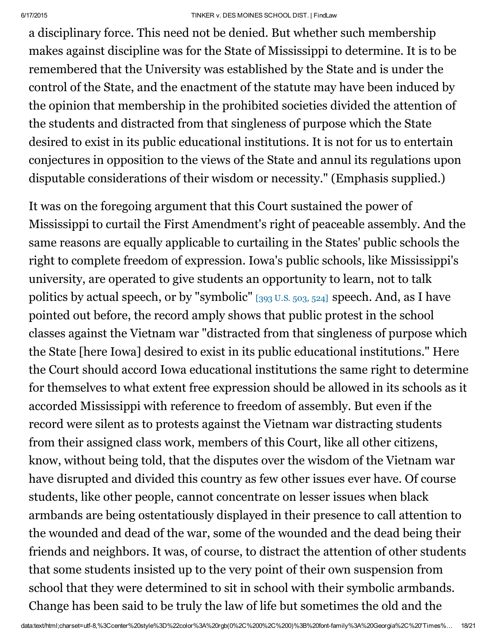a disciplinary force. This need not be denied. But whether such membership makes against discipline was for the State of Mississippi to determine. It is to be remembered that the University was established by the State and is under the control of the State, and the enactment of the statute may have been induced by the opinion that membership in the prohibited societies divided the attention of the students and distracted from that singleness of purpose which the State desired to exist in its public educational institutions. It is not for us to entertain conjectures in opposition to the views of the State and annul its regulations upon disputable considerations of their wisdom or necessity." (Emphasis supplied.)

It was on the foregoing argument that this Court sustained the power of Mississippi to curtail the First Amendment's right of peaceable assembly. And the same reasons are equally applicable to curtailing in the States' public schools the right to complete freedom of expression. Iowa's public schools, like Mississippi's university, are operated to give students an opportunity to learn, not to talk politics by actual speech, or by "symbolic" [393 U.S. 503, 524] speech. And, as I have pointed out before, the record amply shows that public protest in the school classes against the Vietnam war "distracted from that singleness of purpose which the State [here Iowa] desired to exist in its public educational institutions." Here the Court should accord Iowa educational institutions the same right to determine for themselves to what extent free expression should be allowed in its schools as it accorded Mississippi with reference to freedom of assembly. But even if the record were silent as to protests against the Vietnam war distracting students from their assigned class work, members of this Court, like all other citizens, know, without being told, that the disputes over the wisdom of the Vietnam war have disrupted and divided this country as few other issues ever have. Of course students, like other people, cannot concentrate on lesser issues when black armbands are being ostentatiously displayed in their presence to call attention to the wounded and dead of the war, some of the wounded and the dead being their friends and neighbors. It was, of course, to distract the attention of other students that some students insisted up to the very point of their own suspension from school that they were determined to sit in school with their symbolic armbands. Change has been said to be truly the law of life but sometimes the old and the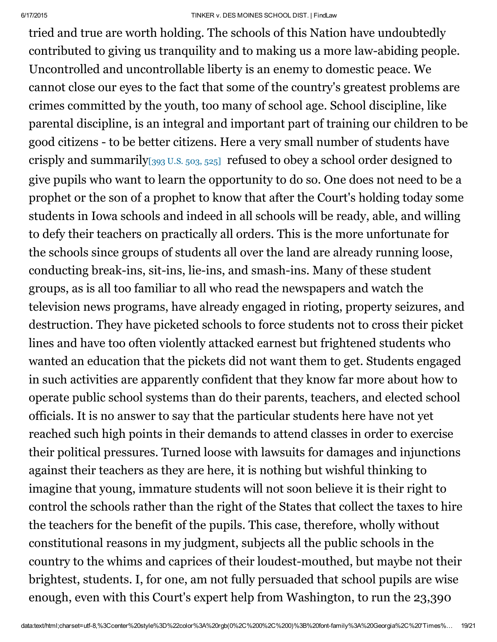tried and true are worth holding. The schools of this Nation have undoubtedly contributed to giving us tranquility and to making us a more law-abiding people. Uncontrolled and uncontrollable liberty is an enemy to domestic peace. We cannot close our eyes to the fact that some of the country's greatest problems are crimes committed by the youth, too many of school age. School discipline, like parental discipline, is an integral and important part of training our children to be good citizens to be better citizens. Here a very small number of students have crisply and summarily $_{[393\text{ U.S. }503, 525]}$  refused to obey a school order designed to give pupils who want to learn the opportunity to do so. One does not need to be a prophet or the son of a prophet to know that after the Court's holding today some students in Iowa schools and indeed in all schools will be ready, able, and willing to defy their teachers on practically all orders. This is the more unfortunate for the schools since groups of students all over the land are already running loose, conducting break-ins, sit-ins, lie-ins, and smash-ins. Many of these student groups, as is all too familiar to all who read the newspapers and watch the television news programs, have already engaged in rioting, property seizures, and destruction. They have picketed schools to force students not to cross their picket lines and have too often violently attacked earnest but frightened students who wanted an education that the pickets did not want them to get. Students engaged in such activities are apparently confident that they know far more about how to operate public school systems than do their parents, teachers, and elected school officials. It is no answer to say that the particular students here have not yet reached such high points in their demands to attend classes in order to exercise their political pressures. Turned loose with lawsuits for damages and injunctions against their teachers as they are here, it is nothing but wishful thinking to imagine that young, immature students will not soon believe it is their right to control the schools rather than the right of the States that collect the taxes to hire the teachers for the benefit of the pupils. This case, therefore, wholly without constitutional reasons in my judgment, subjects all the public schools in the country to the whims and caprices of their loudest-mouthed, but maybe not their brightest, students. I, for one, am not fully persuaded that school pupils are wise enough, even with this Court's expert help from Washington, to run the 23,390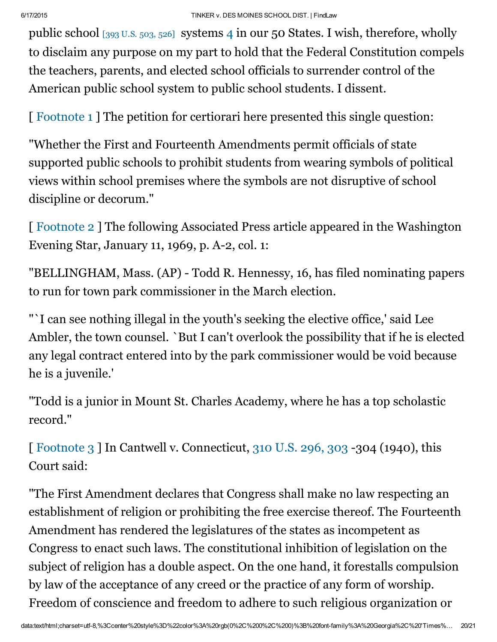public school [393 U.S. 503, 526] systems [4](http://caselaw.findlaw.com/us-supreme-court/393/503.html#ff4) in our 50 States. I wish, therefore, wholly to disclaim any purpose on my part to hold that the Federal Constitution compels the teachers, parents, and elected school officials to surrender control of the American public school system to public school students. I dissent.

[ [Footnote](http://caselaw.findlaw.com/us-supreme-court/393/503.html#tt1) 1 ] The petition for certiorari here presented this single question:

"Whether the First and Fourteenth Amendments permit officials of state supported public schools to prohibit students from wearing symbols of political views within school premises where the symbols are not disruptive of school discipline or decorum."

[ [Footnote](http://caselaw.findlaw.com/us-supreme-court/393/503.html#tt2) 2 ] The following Associated Press article appeared in the Washington Evening Star, January 11, 1969, p. A-2, col. 1:

"BELLINGHAM, Mass. (AP) - Todd R. Hennessy, 16, has filed nominating papers to run for town park commissioner in the March election.

"`I can see nothing illegal in the youth's seeking the elective office,' said Lee Ambler, the town counsel. `But I can't overlook the possibility that if he is elected any legal contract entered into by the park commissioner would be void because he is a juvenile.'

"Todd is a junior in Mount St. Charles Academy, where he has a top scholastic record."

[ [Footnote](http://caselaw.findlaw.com/us-supreme-court/393/503.html#tt3)  $3$  ] In Cantwell v. Connecticut,  $310$  U.S. [296,](http://caselaw.findlaw.com/us-supreme-court/310/296.html#303)  $303$  -304 (1940), this Court said:

"The First Amendment declares that Congress shall make no law respecting an establishment of religion or prohibiting the free exercise thereof. The Fourteenth Amendment has rendered the legislatures of the states as incompetent as Congress to enact such laws. The constitutional inhibition of legislation on the subject of religion has a double aspect. On the one hand, it forestalls compulsion by law of the acceptance of any creed or the practice of any form of worship. Freedom of conscience and freedom to adhere to such religious organization or